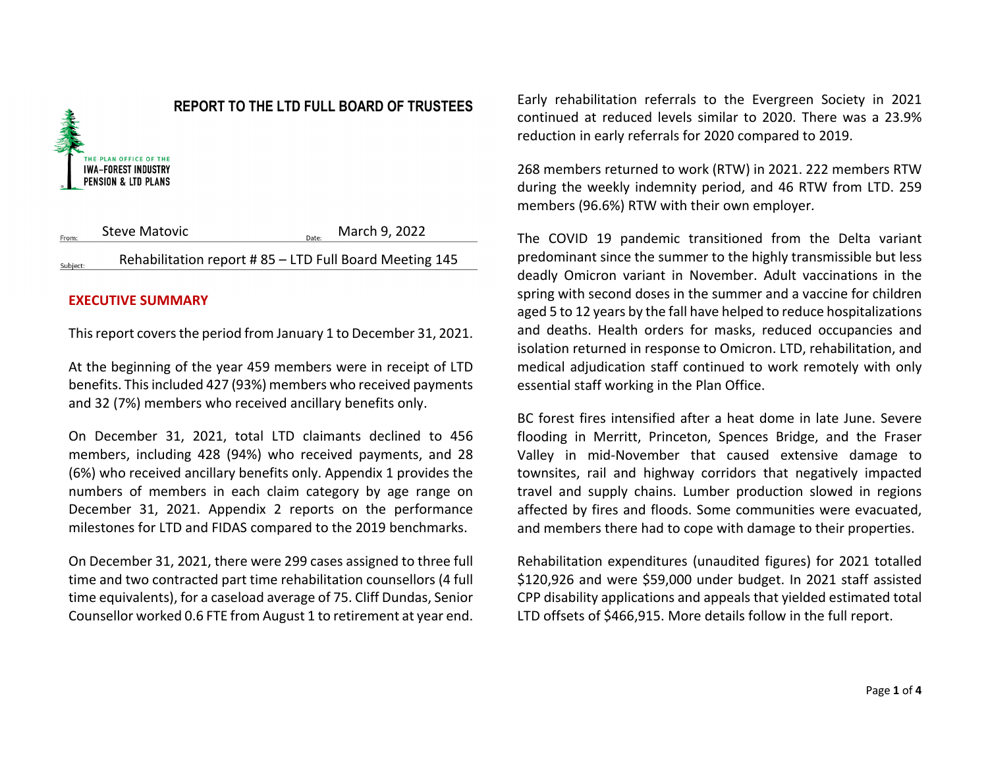

### **REPORT TO THE LTD FULL BOARD OF TRUSTEES**

Steve Matovic  $\sum_{\text{Date}}$  March 9, 2022 From Rehabilitation report # 85 – LTD Full Board Meeting 145 Subject

### **EXECUTIVE SUMMARY**

This report covers the period from January 1 to December 31, 2021.

At the beginning of the year 459 members were in receipt of LTD benefits. This included 427 (93%) members who received payments and 32 (7%) members who received ancillary benefits only.

On December 31, 2021, total LTD claimants declined to 456 members, including 428 (94%) who received payments, and 28 (6%) who received ancillary benefits only. Appendix 1 provides the numbers of members in each claim category by age range on December 31, 2021. Appendix 2 reports on the performance milestones for LTD and FIDAS compared to the 2019 benchmarks.

On December 31, 2021, there were 299 cases assigned to three full time and two contracted part time rehabilitation counsellors (4 full time equivalents), for a caseload average of 75. Cliff Dundas, Senior Counsellor worked 0.6 FTE from August 1 to retirement at year end.

Early rehabilitation referrals to the Evergreen Society in 2021 continued at reduced levels similar to 2020. There was a 23.9% reduction in early referrals for 2020 compared to 2019.

268 members returned to work (RTW) in 2021. 222 members RTW during the weekly indemnity period, and 46 RTW from LTD. 259 members (96.6%) RTW with their own employer.

The COVID 19 pandemic transitioned from the Delta variant predominant since the summer to the highly transmissible but less deadly Omicron variant in November. Adult vaccinations in the spring with second doses in the summer and a vaccine for children aged 5 to 12 years by the fall have helped to reduce hospitalizations and deaths. Health orders for masks, reduced occupancies and isolation returned in response to Omicron. LTD, rehabilitation, and medical adjudication staff continued to work remotely with only essential staff working in the Plan Office.

BC forest fires intensified after a heat dome in late June. Severe flooding in Merritt, Princeton, Spences Bridge, and the Fraser Valley in mid-November that caused extensive damage to townsites, rail and highway corridors that negatively impacted travel and supply chains. Lumber production slowed in regions affected by fires and floods. Some communities were evacuated, and members there had to cope with damage to their properties.

Rehabilitation expenditures (unaudited figures) for 2021 totalled \$120,926 and were \$59,000 under budget. In 2021 staff assisted CPP disability applications and appeals that yielded estimated total LTD offsets of \$466,915. More details follow in the full report.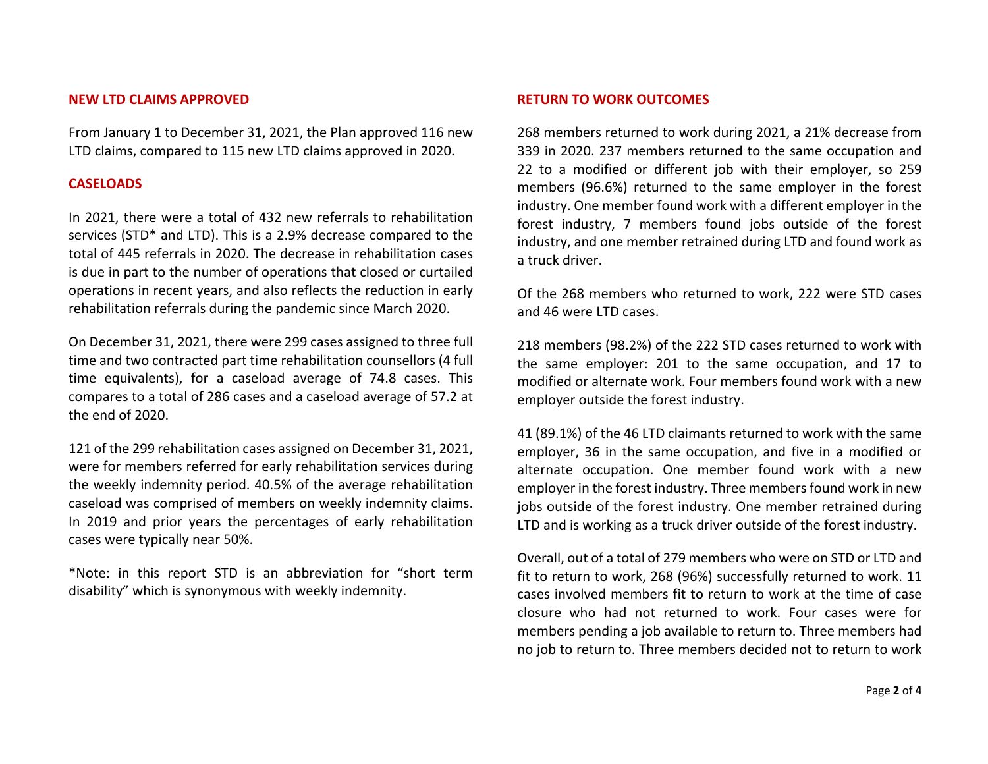#### **NEW LTD CLAIMS APPROVED**

From January 1 to December 31, 2021, the Plan approved 116 new LTD claims, compared to 115 new LTD claims approved in 2020.

### **CASELOADS**

In 2021, there were a total of 432 new referrals to rehabilitation services (STD\* and LTD). This is a 2.9% decrease compared to the total of 445 referrals in 2020. The decrease in rehabilitation cases is due in part to the number of operations that closed or curtailed operations in recent years, and also reflects the reduction in early rehabilitation referrals during the pandemic since March 2020.

On December 31, 2021, there were 299 cases assigned to three full time and two contracted part time rehabilitation counsellors (4 full time equivalents), for a caseload average of 74.8 cases. This compares to a total of 286 cases and a caseload average of 57.2 at the end of 2020.

121 of the 299 rehabilitation cases assigned on December 31, 2021, were for members referred for early rehabilitation services during the weekly indemnity period. 40.5% of the average rehabilitation caseload was comprised of members on weekly indemnity claims. In 2019 and prior years the percentages of early rehabilitation cases were typically near 50%.

\*Note: in this report STD is an abbreviation for "short term disability" which is synonymous with weekly indemnity.

### **RETURN TO WORK OUTCOMES**

268 members returned to work during 2021, a 21% decrease from 339 in 2020. 237 members returned to the same occupation and 22 to a modified or different job with their employer, so 259 members (96.6%) returned to the same employer in the forest industry. One member found work with a different employer in the forest industry, 7 members found jobs outside of the forest industry, and one member retrained during LTD and found work as a truck driver.

Of the 268 members who returned to work, 222 were STD cases and 46 were LTD cases.

218 members (98.2%) of the 222 STD cases returned to work with the same employer: 201 to the same occupation, and 17 to modified or alternate work. Four members found work with a new employer outside the forest industry.

41 (89.1%) of the 46 LTD claimants returned to work with the same employer, 36 in the same occupation, and five in a modified or alternate occupation. One member found work with a new employer in the forest industry. Three members found work in new jobs outside of the forest industry. One member retrained during LTD and is working as a truck driver outside of the forest industry.

Overall, out of a total of 279 members who were on STD or LTD and fit to return to work, 268 (96%) successfully returned to work. 11 cases involved members fit to return to work at the time of case closure who had not returned to work. Four cases were for members pending a job available to return to. Three members had no job to return to. Three members decided not to return to work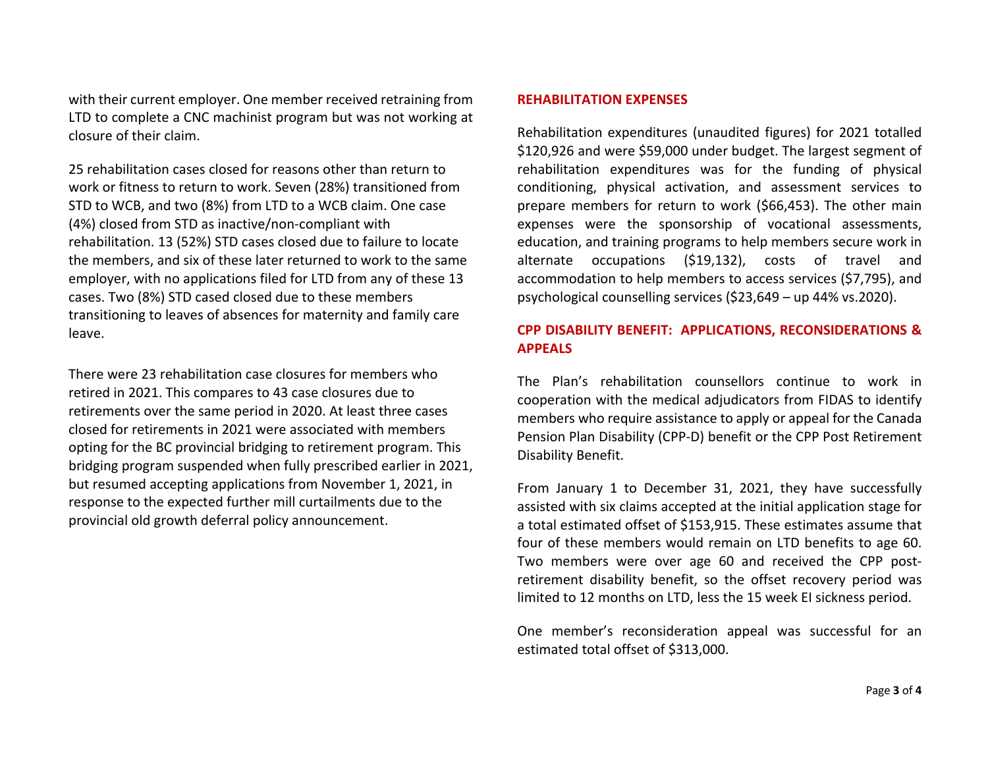with their current employer. One member received retraining from LTD to complete a CNC machinist program but was not working at closure of their claim.

25 rehabilitation cases closed for reasons other than return to work or fitness to return to work. Seven (28%) transitioned from STD to WCB, and two (8%) from LTD to a WCB claim. One case (4%) closed from STD as inactive/non-compliant with rehabilitation. 13 (52%) STD cases closed due to failure to locate the members, and six of these later returned to work to the same employer, with no applications filed for LTD from any of these 13 cases. Two (8%) STD cased closed due to these members transitioning to leaves of absences for maternity and family care leave.

There were 23 rehabilitation case closures for members who retired in 2021. This compares to 43 case closures due to retirements over the same period in 2020. At least three cases closed for retirements in 2021 were associated with members opting for the BC provincial bridging to retirement program. This bridging program suspended when fully prescribed earlier in 2021, but resumed accepting applications from November 1, 2021, in response to the expected further mill curtailments due to the provincial old growth deferral policy announcement.

### **REHABILITATION EXPENSES**

Rehabilitation expenditures (unaudited figures) for 2021 totalled \$120,926 and were \$59,000 under budget. The largest segment of rehabilitation expenditures was for the funding of physical conditioning, physical activation, and assessment services to prepare members for return to work (\$66,453). The other main expenses were the sponsorship of vocational assessments, education, and training programs to help members secure work in alternate occupations (\$19,132), costs of travel and accommodation to help members to access services (\$7,795), and psychological counselling services (\$23,649 – up 44% vs.2020).

### **CPP DISABILITY BENEFIT: APPLICATIONS, RECONSIDERATIONS & APPEALS**

The Plan's rehabilitation counsellors continue to work in cooperation with the medical adjudicators from FIDAS to identify members who require assistance to apply or appeal for the Canada Pension Plan Disability (CPP-D) benefit or the CPP Post Retirement Disability Benefit.

From January 1 to December 31, 2021, they have successfully assisted with six claims accepted at the initial application stage for a total estimated offset of \$153,915. These estimates assume that four of these members would remain on LTD benefits to age 60. Two members were over age 60 and received the CPP postretirement disability benefit, so the offset recovery period was limited to 12 months on LTD, less the 15 week EI sickness period.

One member's reconsideration appeal was successful for an estimated total offset of \$313,000.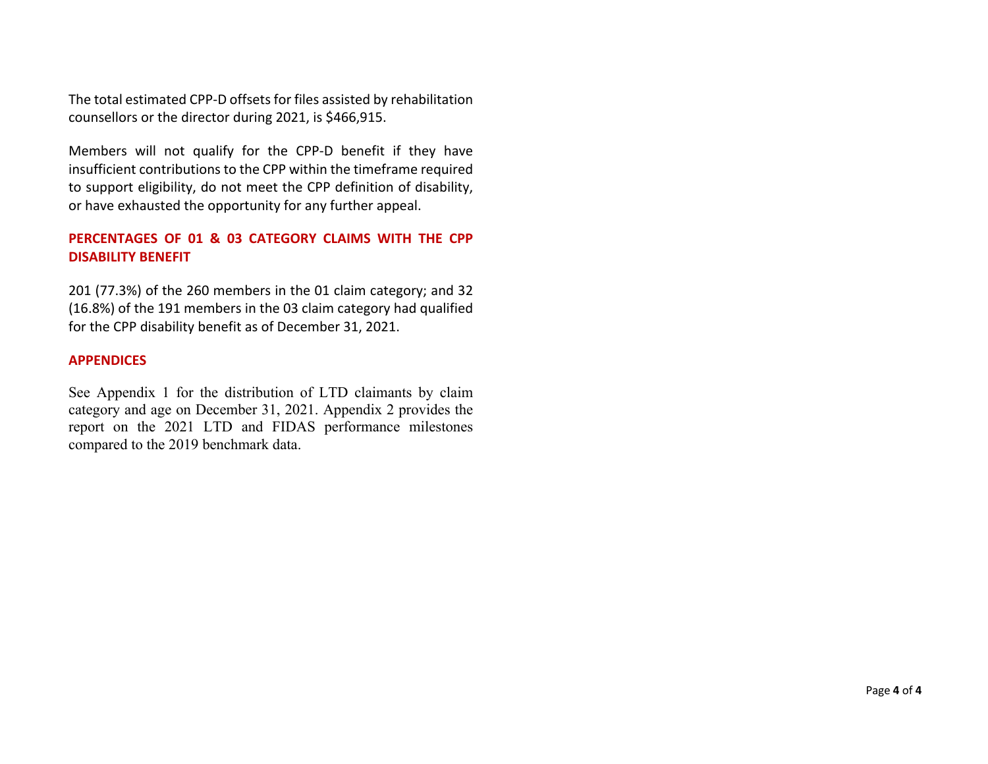The total estimated CPP-D offsets for files assisted by rehabilitation counsellors or the director during 2021, is \$466,915.

Members will not qualify for the CPP-D benefit if they have insufficient contributions to the CPP within the timeframe required to support eligibility, do not meet the CPP definition of disability, or have exhausted the opportunity for any further appeal.

## **PERCENTAGES OF 01 & 03 CATEGORY CLAIMS WITH THE CPP DISABILITY BENEFIT**

201 (77.3%) of the 260 members in the 01 claim category; and 32 (16.8%) of the 191 members in the 03 claim category had qualified for the CPP disability benefit as of December 31, 2021.

### **APPENDICES**

See Appendix 1 for the distribution of LTD claimants by claim category and age on December 31, 2021. Appendix 2 provides the report on the 2021 LTD and FIDAS performance milestones compared to the 2019 benchmark data.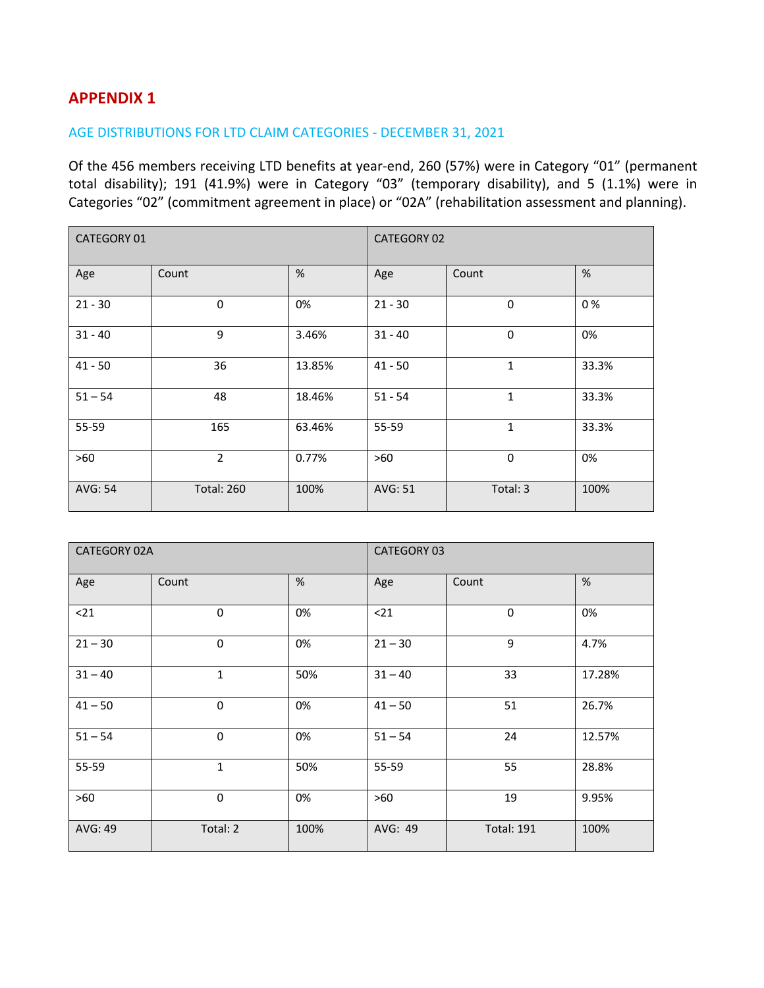## **APPENDIX 1**

### AGE DISTRIBUTIONS FOR LTD CLAIM CATEGORIES - DECEMBER 31, 2021

Of the 456 members receiving LTD benefits at year-end, 260 (57%) were in Category "01" (permanent total disability); 191 (41.9%) were in Category "03" (temporary disability), and 5 (1.1%) were in Categories "02" (commitment agreement in place) or "02A" (rehabilitation assessment and planning).

| <b>CATEGORY 01</b> |                   |        | <b>CATEGORY 02</b> |              |       |
|--------------------|-------------------|--------|--------------------|--------------|-------|
| Age                | Count             | %      | Age                | Count        | %     |
| $21 - 30$          | 0                 | 0%     | $21 - 30$          | 0            | 0%    |
| $31 - 40$          | 9                 | 3.46%  | $31 - 40$          | $\mathbf 0$  | 0%    |
| $41 - 50$          | 36                | 13.85% | $41 - 50$          | 1            | 33.3% |
| $51 - 54$          | 48                | 18.46% | $51 - 54$          | $\mathbf{1}$ | 33.3% |
| 55-59              | 165               | 63.46% | 55-59              | $\mathbf{1}$ | 33.3% |
| $>60$              | $\overline{2}$    | 0.77%  | >60                | 0            | 0%    |
| AVG: 54            | <b>Total: 260</b> | 100%   | AVG: 51            | Total: 3     | 100%  |

| CATEGORY 02A |              |      | CATEGORY 03 |                   |        |
|--------------|--------------|------|-------------|-------------------|--------|
| Age          | Count        | %    | Age         | Count             | %      |
| $21$         | $\mathbf 0$  | 0%   | $21$        | 0                 | 0%     |
| $21 - 30$    | $\Omega$     | 0%   | $21 - 30$   | 9                 | 4.7%   |
| $31 - 40$    | $\mathbf{1}$ | 50%  | $31 - 40$   | 33                | 17.28% |
| $41 - 50$    | 0            | 0%   | $41 - 50$   | 51                | 26.7%  |
| $51 - 54$    | $\mathbf 0$  | 0%   | $51 - 54$   | 24                | 12.57% |
| 55-59        | $\mathbf{1}$ | 50%  | 55-59       | 55                | 28.8%  |
| >60          | $\mathbf 0$  | 0%   | $>60$       | 19                | 9.95%  |
| AVG: 49      | Total: 2     | 100% | AVG: 49     | <b>Total: 191</b> | 100%   |